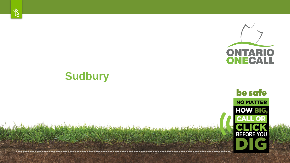



### **Sudbury**

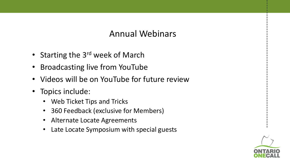#### Annual Webinars

- Starting the 3<sup>rd</sup> week of March
- Broadcasting live from YouTube
- Videos will be on YouTube for future review
- Topics include:
	- Web Ticket Tips and Tricks
	- 360 Feedback (exclusive for Members)
	- Alternate Locate Agreements
	- Late Locate Symposium with special guests

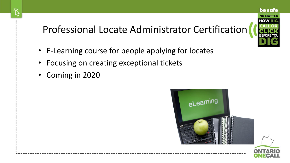### Professional Locate Administrator Certification

- E-Learning course for people applying for locates
- Focusing on creating exceptional tickets
- Coming in 2020





be safe

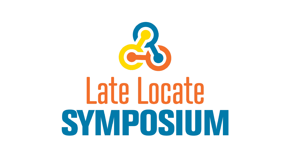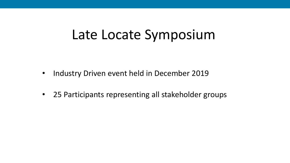# Late Locate Symposium

- Industry Driven event held in December 2019
- 25 Participants representing all stakeholder groups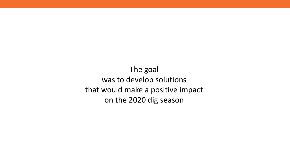The goal was to develop solutions that would make a positive impact on the 2020 dig season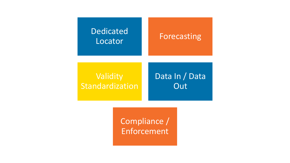### Dedicated Locator **Forecasting Validity** Standardization Data In / Data **Out**

Compliance / Enforcement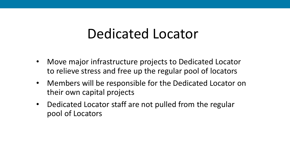## Dedicated Locator

- Move major infrastructure projects to Dedicated Locator to relieve stress and free up the regular pool of locators
- Members will be responsible for the Dedicated Locator on their own capital projects
- Dedicated Locator staff are not pulled from the regular pool of Locators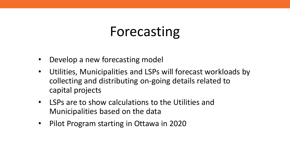# Forecasting

- Develop a new forecasting model
- Utilities, Municipalities and LSPs will forecast workloads by collecting and distributing on-going details related to capital projects
- LSPs are to show calculations to the Utilities and Municipalities based on the data
- Pilot Program starting in Ottawa in 2020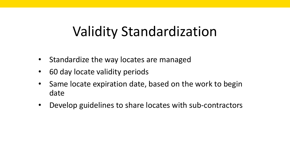# Validity Standardization

- Standardize the way locates are managed
- 60 day locate validity periods
- Same locate expiration date, based on the work to begin date
- Develop guidelines to share locates with sub-contractors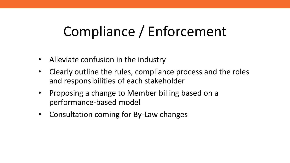# Compliance / Enforcement

- Alleviate confusion in the industry
- Clearly outline the rules, compliance process and the roles and responsibilities of each stakeholder
- Proposing a change to Member billing based on a performance-based model
- Consultation coming for By-Law changes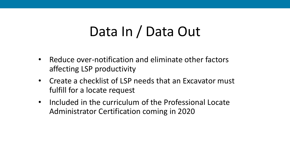# Data In / Data Out

- Reduce over-notification and eliminate other factors affecting LSP productivity
- Create a checklist of LSP needs that an Excavator must fulfill for a locate request
- Included in the curriculum of the Professional Locate Administrator Certification coming in 2020